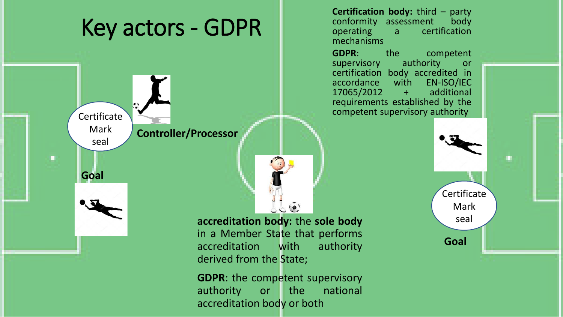## **Certification body:** third – party conformity assessment body conformity assessment<br>operating a cert Key actors - GDPR certification mechanisms **GDPR:** the competent<br>supervisory authority or supervisory authority or certification body accredited in<br>accordance with EN-ISO/IEC accordance with EN-ISO/IEC<br>17065/2012 + additional 17065/2012 requirements established by the ÷. Certificate  $\overline{\phantom{a}}$  Certificate  $\overline{\phantom{a}}$ Mark **Controller/Processor** seal ίú, **Goal** Certificate Mark  $\bullet$ seal **accreditation body:** the **sole body** in a Member State that performs **Goal**accreditation with authority derived from the State; **GDPR**: the competent supervisory authority or the national

accreditation body or both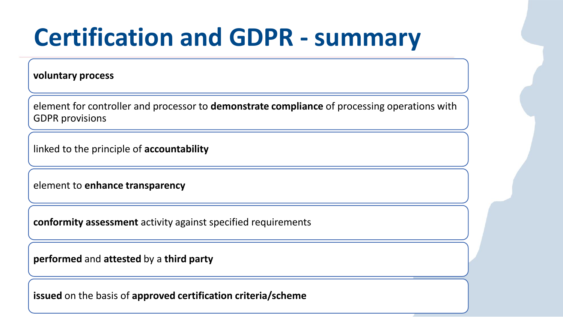## **Certification and GDPR - summary**

**voluntary process**

element for controller and processor to **demonstrate compliance** of processing operations with GDPR provisions

linked to the principle of **accountability** 

element to **enhance transparency** 

**conformity assessment** activity against specified requirements

**performed** and **attested** by a **third party** 

**issued** on the basis of **approved certification criteria/scheme**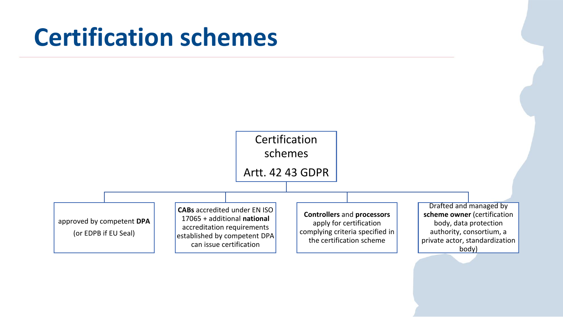## **Certification schemes**